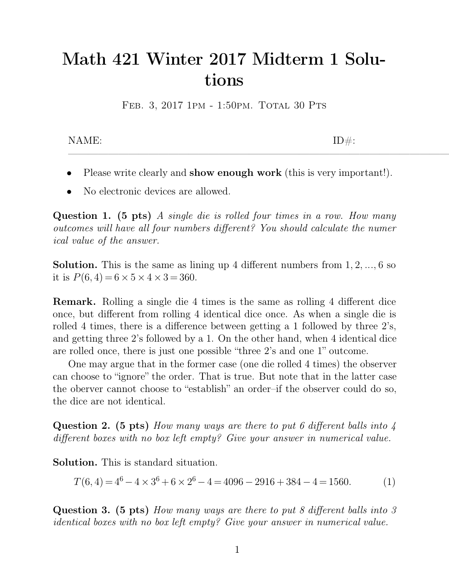## **Math 421 Winter 2017 Midterm 1 Solutions** Math 421 Winter 2017 Midterm 1 Solu-<br>tions<br>FEB. 3, 2017 1PM - 1:50PM. TOTAL 30 PTS **tions**<br>FEB. 3, 2017 1PM - 1:50PM. TOTAL 30 PTS<br>NAME:<br>ID#:

- $\begin{tabular}{ll} \bf{NAME:} & \tt ID\#: \\ \bullet \quad \text{Please write clearly and \textbf{show enough work (this is very important!).} \\ \bullet \quad \text{No electronic devices are allowed.} \end{tabular}$ NAME:<br>
• Please write clearly and show enough<br>
• No electronic devices are allowed.
- 

● Please write clearly and **show enough work** (this is very important!).<br>● No electronic devices are allowed.<br>Question 1. (5 pts) *A single die is rolled four times in a row. How many*<br>*outcomes will have all four numbers* • Please write clearly and **show enough work** (this is very important!).<br>
• No electronic devices are allowed.<br> **Question 1.** (5 pts) *A single die is rolled four times in a row. How many outcomes will have all four numbe* • Please write clearly and **show enough work** (this is very important!).<br>
● No electronic devices are allowed.<br> **Question 1.** (5 pts) *A single die is rolled four times in a row. How many outcomes will have all four numbe* **Question 1.** (5 pts) *A single die is rolled four times in a row. How many outcomes will have all four numbers different? You should calculate the numer ical value of the answer.<br>Solution. This is the same as lining up* Question 1. (5 pts) *A*<br>outcomes will have all fou<br>ical value of the answer.<br>Solution. This is the san<br>it is  $P(6,4) = 6 \times 5 \times 4 \times 3$ <br>Romark Bolling a single 3 and the small have all four numbers different? You should calculate the numer ical value of the answer.<br> **Solution.** This is the same as lining up 4 different numbers from 1, 2, ..., 6 so it is  $P(6, 4) = 6 \times 5 \times 4 \times 3 =$ 

 $5 \times 4 \times 3 = 360.$ 

**Solution.** This is the same as lining up 4 different numbers from 1, 2, ..., 6 so it is  $P(6, 4) = 6 \times 5 \times 4 \times 3 = 360$ .<br>**Remark.** Rolling a single die 4 times is the same as rolling 4 different dice once, but different fr **Solution.** This is the same as lining up 4 different numbers from 1, 2, ..., 6 so<br>it is  $P(6, 4) = 6 \times 5 \times 4 \times 3 = 360$ .<br>**Remark.** Rolling a single die 4 times is the same as rolling 4 different dice<br>once, but different fr it is  $P(6, 4) = 6 \times 5 \times 4 \times 3 = 360$ .<br> **Remark.** Rolling a single die 4 times is the same as rolling 4 different dice<br>
once, but different from rolling 4 identical dice once. As when a single die is<br>
rolled 4 times, there **Remark.** Rolling a single die 4 times is the same as rolling 4 different dice once, but different from rolling 4 identical dice once. As when a single die is rolled 4 times, there is a difference between getting a 1 follo mark. Kolling a single die 4 times is the same as rolling 4 different dice<br>e, but different from rolling 4 identical dice once. As when a single die is<br>ed 4 times, there is a difference between getting a 1 followed by thr once, but different from rolling 4 identical dice once. As when a single die is<br>rolled 4 times, there is a difference between getting a 1 followed by three 2's,<br>and getting three 2's followed by a 1. On the other hand, wh

rolled 4 times, there is a difference between getting a 1 followed by three 2's, and getting three 2's followed by a 1. On the other hand, when 4 identical dice are rolled once, there is just one possible "three 2's and on and getting three 2's followed are rolled once, there is just of<br>one may argue that in the<br>can choose to "ignore" the orde<br>the oberver cannot choose to "<br>the dice are not identical. One may argue that in the former case (one die rolled 4 times) the observer<br>can choose to "ignore" the order. That is true. But note that in the latter case<br>the oberver cannot choose to "establish" an order-if the observe can choose to "ignore" the order. That is true. But note that in the latter case<br>the oberver cannot choose to "establish" an order-if the observer could do so,<br>the dice are not identical.<br>**Question 2.** (5 pts) *How many w* 

the dice are not identical.<br> **Question 2.** (5 pts) How many ways are different boxes with no box left empty? Given Solution. This is standard situation.<br>  $T(6\ 4) = 4^6 - 4 \times 3^6 + 6 \times 2^6 - 4 = 409$ **stion 2.** (5 pts) How many ways<br> *rent boxes with no box left empty?*<br> **tion.** This is standard situation.<br>  $T(6, 4) = 4^6 - 4 \times 3^6 + 6 \times 2^6 - 4 =$ % are there to put 6 different balls into 4<br>
empty? Give your answer in numerical value.<br>
ation.<br>  $6 - 4 = 4096 - 2916 + 384 - 4 = 1560.$  (1)

$$
T(6,4) = 46 - 4 \times 36 + 6 \times 26 - 4 = 4096 - 2916 + 384 - 4 = 1560.
$$
 (1)

**Solution.** This is standard situation.<br>  $T(6, 4) = 4^6 - 4 \times 3^6 + 6 \times 2^6 - 4 = 4096 - 2916 + 384 - 4 = 1560.$  (1)<br> **Question 3.** (5 pts) *How many ways are there to put 8 different balls into 3 identical boxes with no box left* **Solution.** This is standard situation.<br>  $T(6, 4) = 4^6 - 4 \times 3^6 + 6 \times 2^6 - 4 = 4096 - 2916 + 384 - 4 = 1560.$  (1)<br> **Question 3. (5 pts)** How many ways are there to put 8 different balls into 3 identical boxes with no box left e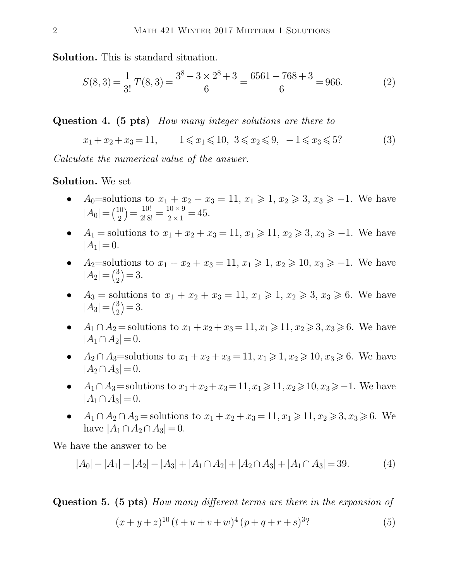**Solution.** This is standard situation.<br>  $\begin{bmatrix}\n3^8 - 3 \times 2^8 + 3\n\end{bmatrix}$ 

2 Markov transform 2017 MIDTERM 1 SOLUTIONS

\nSolution. This is standard situation.

\n
$$
S(8,3) = \frac{1}{3!}T(8,3) = \frac{3^{8}-3\times2^{8}+3}{6} = \frac{6561-768+3}{6} = 966.
$$
\nQuestion 4. (5 pts) How many integer solutions are there to

\n
$$
x_{1}+x_{2}+x_{3}=11, \qquad 1 \leq x_{1} \leq 10, \ 3 \leq x_{2} \leq 9, \ -1 \leq x_{3} \leq 5?
$$
\n(3)

**Question 4.** (5 pts) *How many integer solutions are there to*  
\n
$$
x_1 + x_2 + x_3 = 11
$$
,  $1 \le x_1 \le 10$ ,  $3 \le x_2 \le 9$ ,  $-1 \le x_3 \le 5$ ?  
\nCalculate the numerical value of the answer.  
\n**Solution.** We set

Calculate the numerical value of the answer.<br> **Solution.** We set<br>
•  $A_0$ =solutions to  $x_1 + x_2 + x_3 = 11$ , x

- *A*<sub>0</sub>=solutions to  $x_1 + x_2 + x_3 = 11, x_1 \ge 1, x_2 \ge 3, x_3 \ge -1$ . We have  $|A_0| = {10 \choose 2} = \frac{10!}{2! \, 8!} = \frac{10 \times 9}{2 \times 1} =$ 3 to  $x_1 + x_2 + x_3 = \frac{10!}{2!8!} = \frac{10 \times 9}{2 \times 1} = 45.$ <br>
as to  $x_1 + x_2 + x_3 = 1$  $\frac{10 \times 9}{2} = 45$  $\frac{10 \times 9}{2 \times 1} = 45.$ **●**  $A_0$ =solutions to  $x_1 + x_2 + x_3 = 11$ ,  $x_1 \ge 1$ ,  $x_2 \ge 3$ ,  $x_3 \ge -1$ . We have  $|A_0| = {10 \choose 2} = \frac{10!}{2!8!} = \frac{10 \times 9}{2 \times 1} = 45$ .<br>●  $A_1$  = solutions to  $x_1 + x_2 + x_3 = 11$ ,  $x_1 \ge 11$ ,  $x_2 \ge 3$ ,  $x_3 \ge -1$ . We have *→ A*<sub>0</sub>=solutions to *x*<sub>1</sub> + *x*<sub>2</sub> + *x*<sub>3</sub> = 11*, x*<sub>1</sub> ≥ 1*, x*<sub>2</sub> ≥ 3*, x*<sub>3</sub> ≥ −1. We have<br>  $|A_0| = {10 \choose 2} = \frac{10!}{2!8!} = \frac{10 \times 9}{2 \times 1} = 45.$ <br> *A*<sub>1</sub> = solutions to *x*<sub>1</sub> + *x*<sub>2</sub> + *x*<sub>3</sub> = 11*, x*<sub>1</sub> ≥ 11*,*
- 
- $|A_2| = \binom{3}{2} = 3.$
- $A_1 =$  solutions to  $x_1 + x_2 + x_3 = 11, x_1 \ge 11, x_2 \ge 3, x_3 \ge -1$ . We have  $|A_1| = 0$ .<br>
  $A_2$ = solutions to  $x_1 + x_2 + x_3 = 11, x_1 \ge 1, x_2 \ge 10, x_3 \ge -1$ . We have  $|A_2| = {3 \choose 2} = 3$ .<br>
  $A_3 =$  solutions to  $x_1 + x_2 + x_3 = 11$  $|A_3| = \binom{3}{2} = 3.$ 4.  $A_2$ =solutions to  $x_1 + x_2 + x_3 = 11$ ,  $x_1 \ge 1$ ,  $x_2 \ge 10$ ,  $x_3 \ge -1$ . We have  $|A_2| = {3 \choose 2} = 3$ .<br>
4.  $A_3$  = solutions to  $x_1 + x_2 + x_3 = 11$ ,  $x_1 \ge 1$ ,  $x_2 \ge 3$ ,  $x_3 \ge 6$ . We have  $|A_3| = {3 \choose 2} = 3$ .<br>
4.  $\cap A_2$  = •  $A_3$  = solutions to  $x_1 + x_2 + x_3 = 11$ ,  $x_1 \ge 1$ ,  $x_2 \ge 3$ ,  $x_3 \ge 6$ . We have  $|A_3| = {3 \choose 2} = 3$ .<br>
•  $A_1 \cap A_2$  = solutions to  $x_1 + x_2 + x_3 = 11$ ,  $x_1 \ge 11$ ,  $x_2 \ge 3$ ,  $x_3 \ge 6$ . We have  $|A_1 \cap A_2| = 0$ .<br>
•  $A_2 \cap A_$
- *A*<sub>1</sub> ∩ *A*<sub>2</sub> = solutions to *x*<sub>1</sub> + *x*<sub>2</sub> + *x*<sub>3</sub> = 11*, x*<sub>1</sub> ≥ 11*, x*<sub>2</sub> ≥ 3*, x*<sub>3</sub> ≥ 6. We have  $|A_1 \cap A_2| = 0$ .<br> *A*<sub>2</sub> ∩ *A*<sub>3</sub>=solutions to *x*<sub>1</sub> + *x*<sub>2</sub> + *x*<sub>3</sub> = 11*, x*<sub>1</sub> ≥ 1*, x*<sub>2</sub> ≥ 10*, x*<sub>3</sub> ≥ 6
- *A*<sub>2</sub> ∩ *A*<sub>3</sub>=solutions to *x*<sub>1</sub> + *x*<sub>2</sub> + *x*<sub>3</sub> = 11*, x*<sub>1</sub> ≥ 1*, x*<sub>2</sub> ≥ 10*, x*<sub>3</sub> ≥ 6. We have  $|A_2 \cap A_3| = 0$ .<br>
 *A*<sub>1</sub> ∩ *A*<sub>3</sub> = solutions to *x*<sub>1</sub> + *x*<sub>2</sub> + *x*<sub>3</sub> = 11*, x*<sub>1</sub> ≥ 11*, x*<sub>2</sub> ≥ 10*, x*<sub>3</sub>
- 
- *h*<sub>1</sub>∩ *A*<sub>3</sub> = 0.<br>
 *A*<sub>1</sub>∩ *A*<sub>3</sub> = solutions to *x*<sub>1</sub> + *x*<sub>2</sub> + *x*<sub>3</sub> = 11, *x*<sub>1</sub> ≥ 11, *x*<sub>2</sub> ≥ 10, *x*<sub>3</sub> ≥ −1. We have  $|A_1 \cap A_3| = 0$ .<br>
 *A*<sub>1</sub> ∩ *A*<sub>2</sub> ∩ *A*<sub>3</sub> = solutions to *x*<sub>1</sub> + *x*<sub>2</sub> + *x*<sub>3</sub> = 11

We have the answer to be  
\n
$$
|A_0| - |A_1| - |A_2| - |A_3| + |A_1 \cap A_2| + |A_2 \cap A_3| + |A_1 \cap A_3| = 39.
$$
 (4)  
\nQuestion 5. (5 pts) *How many different terms are there in the expansion of*  
\n $(x + y + z)^{10} (t + u + v + w)^4 (p + q + r + s)^{3}$ ? (5)

<span id="page-1-0"></span>
$$
(x+y+z)^{10} (t+u+v+w)^4 (p+q+r+s)^{3}?
$$
 (5)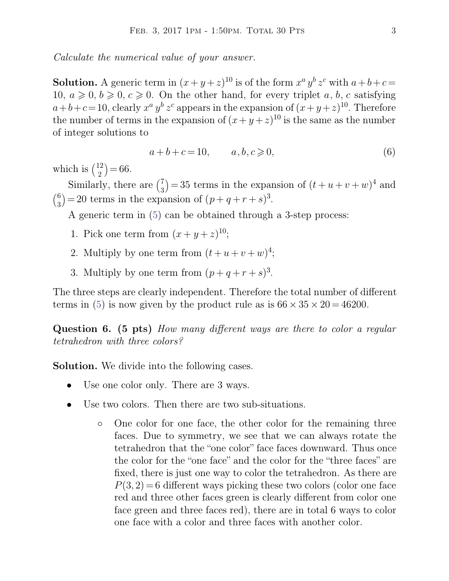FEB. 3, 2017 1PM - 1:50PM. TOTAL:<br> *Calculate the numerical value of your answer.* 

FEB. 3, 2017 1PM - 1:50PM. TOTAL 30 PTS<br>
Calculate the numerical value of your answer.<br> **Solution.** A generic term in  $(x + y + z)^{10}$  is of the form  $x^a y^b z^c$  with a<br>
10,  $a \ge 0, b \ge 0, c \ge 0$ . On the other hand, for every t  $a^a y^b z^c$  with  $a+b+c=$ Calculate the numerical value of your answer.<br> **Solution.** A generic term in  $(x + y + z)^{10}$  is of the form  $x^a y^b z^c$  with  $a + b + c =$ <br>  $10, a \ge 0, b \ge 0, c \ge 0$ . On the other hand, for every triplet *a*, *b*, *c* satisfying<br>  $a$ *Calculate the numerical value of your answer.*<br> **Solution.** A generic term in  $(x + y + z)^{10}$  is of the form  $x^a y^b z^c$  with  $a + b + c =$ <br>
10,  $a \ge 0, b \ge 0, c \ge 0$ . On the other hand, for every triplet a, b, c satisfying<br>  $a+b+c=$  $^{a}$   $y^{b}$   $z^{c}$  appeal **Solution.** A generic term in  $(x + y + z)^{10}$  is of the form  $x^a y^b z^c$  with  $a + b + c = 10$ ,  $a \ge 0$ ,  $b \ge 0$ ,  $c \ge 0$ . On the other hand, for every triplet a, b, c satisfying  $a+b+c=10$ , clearly  $x^a y^b z^c$  appears in the expan **Solution.** A generic term in (:<br>10,  $a \ge 0$ ,  $b \ge 0$ ,  $c \ge 0$ . On th<br> $a+b+c=10$ , clearly  $x^a y^b z^c$  ap<br>the number of terms in the exp<br>of integer solutions to<br> $a+b+c$ 0. On the other hand, for every triplet *a*, *b*, *c* satisfying  $a y^b z^c$  appears in the expansion of  $(x + y + z)^{10}$ . Therefore is the expansion of  $(x + y + z)^{10}$  is the same as the number  $a + b + c = 10$ ,  $a, b, c \ge 0$ , (6)  $a+b+c=10$ , clea<br>the number of ter<br>of integer solutio:<br>which is  $\binom{12}{2} = 66$ <br>Similarly, the

$$
a+b+c=10, \qquad a,b,c \geqslant 0,\tag{6}
$$

 $12$ ) – 66

matted the expansion of the expansion  $a+b+c=$ <br>ch is  $\binom{12}{2} = 66$ .<br>Similarly, there are  $\binom{7}{3} = 35$ <br>= 20 terms in the expansion  $7) - 35$  $(a+b+c=10,$   $a, b, c \ge 0,$  (6)<br>  $\binom{7}{3} = 35$  terms in the expansion of  $(t+u+v+w)^4$  and<br>
pansion of  $(p+q+r+s)^3$ . <sup>4</sup> and  $\binom{6}{3} = 20$  terms in the expansion of  $(p+q+r+s)^3$ .<br>A generic term in (5) can be obtained through a 3-step<br>1. Pick one term from  $(x+y+z)^{10}$ ;<br>2. Multiply by one term from  $(t+u+v+w)^4$ ;<br>3. Multiply by one term from  $(n+a+r+s)^3$ 3a + *b* + *c* = 10, a, *b*, *c*  $\ge$  0,<br>
chich is  $\binom{12}{2} = 66$ .<br>
Similarly, there are  $\binom{7}{3} = 35$  terms in the expansion of ( $\binom{6}{3} = 20$  terms in the expansion of  $(p+q+r+s)^3$ .<br>
A generic term in (5) can be obtain the direct of  $a + b + c = 10$ ,  $a, b, c \ge 0$ ,<br>  $\alpha$ ,  $\alpha$ ,  $\alpha$ ,  $\alpha$ ,  $\alpha$ ,  $\alpha$ ,  $\alpha$ ,  $\alpha$ ,  $\alpha$ ,  $\alpha$ ,  $\alpha$ ,  $\alpha$ ,  $\alpha$ ,  $\alpha$ ,  $\alpha$ ,  $\alpha$ ,  $\alpha$ ,  $\alpha$ ,  $\alpha$ ,  $\alpha$ ,  $\alpha$ ,  $\alpha$ ,  $\alpha$ ,  $\alpha$ ,  $\alpha$ ,  $\alpha$ ,  $\alpha$ ,  $\alpha$ ,  $\alpha$ ,  $\alpha$ , Similarly, there are  $\binom{7}{3} = 35$  terms in the exp<br>= 20 terms in the expansion of  $(p+q+r+s)$ <br>A generic term in (5) can be obtained throug<br>1. Pick one term from  $(x+y+z)^{10}$ ;<br>2. Multiply by one term from  $(t+u+v+w)$ 

A generic term in (5) can be obtained through a 3-step process:

- 1. Pick one term from  $(x+y+z)^{10}$ ;
- 4 ;
- 3. Multiply by one term from  $(p+q+r+s)^3$ .

1.Pick one term from  $(x + y + z)^{10}$ ;<br>
2. Multiply by one term from  $(t + u + v + w)^4$ ;<br>
3. Multiply by one term from  $(p + q + r + s)^3$ .<br>
The three steps are clearly independent. Therefore the total number of different<br>
terms in (5) is 2. Multiply by one term from  $(t+u+v+w)^4$ ;<br>3. Multiply by one term from  $(p+q+r+s)^3$ .<br>The three steps are clearly independent. Therefore the total nu<br>terms in (5) is now given by the product rule as is  $66 \times 35 \times 2$  $35 \times 20 = 46200.$ 3. Multiply by one term from  $(p+q+r+s)^3$ .<br>The three steps are clearly independent. Therefore the total number of different<br>terms in (5) is now given by the product rule as is  $66 \times 35 \times 20 = 46200$ .<br>Question 6. (5 pts) *How* The three steps are clearly independent. Therefore the total number of different terms in (5) is now given by the product rule as is  $66 \times 35 \times 20 = 46200$ .<br>**Question 6. (5 pts)** *How many different ways are there to color* 

**Solution 6. (5 pts)** *How many different ways*<br>**Solution.** We divide into the following cases.<br>**Solution.** We divide into the following cases.<br>**Solution.** We divide into the following cases. **Example 16. (5 pts)** How many different ways<br>
rahedron with three colors?<br> **Iution.** We divide into the following cases.<br>
• Use one color only. There are 3 ways.<br>
• Use two colors. Then there are two sub-sit

- 
- France two with three colors?<br> **Iution.** We divide into the following cases.<br>
 Use one color only. There are 3 ways.<br>
 Use two colors. Then there are two sub-situations.<br>
↓ One color for one face, the other color for th
	- We divide into the following cases.<br>
	E one color only. There are 3 ways.<br>
	E two colors. Then there are two sub-situations.<br>
	One color for one face, the other color for the remaining three<br>
	faces. Due to symmetry, we see th faces. Then there are 3 ways.<br>
	So colors. Then there are two sub-situations.<br>
	One color for one face, the other color for the remaining three<br>
	faces. Due to symmetry, we see that we can always rotate the<br>
	tetrahedron that the color only. There are 3 ways.<br>
	O colors. Then there are two sub-situations.<br>
	One color for one face, the other color for the remaining three<br>
	faces. Due to symmetry, we see that we can always rotate the<br>
	tetrahedron th o colors. Then there are two sub-situations.<br>One color for one face, the other color for the remaining three<br>faces. Due to symmetry, we see that we can always rotate the<br>tetrahedron that the "one color" face faces downward One color for one face, the other color for the remaining three faces. Due to symmetry, we see that we can always rotate the tetrahedron that the "one color" face faces downward. Thus once the color for the "one face" and One color for one face, the other color for the remaining three faces. Due to symmetry, we see that we can always rotate the tetrahedron that the "one color" face faces downward. Thus once the color for the "one face" and faces. Due to symmetry, we see that we can always rotate the<br>tetrahedron that the "one color" face faces downward. Thus once<br>the color for the "one face" and the color for the "three faces" are<br>fixed, there is just one wa tetrahedron that the "one color" face faces downward. Thus once<br>the color for the "one face" and the color for the "three faces" are<br>fixed, there is just one way to color the tetrahedron. As there are<br> $P(3,2) = 6$  differen the color for the "one face" and the color for the "three faces" are<br>fixed, there is just one way to color the tetrahedron. As there are<br> $P(3,2) = 6$  different ways picking these two colors (color one face<br>red and three ot